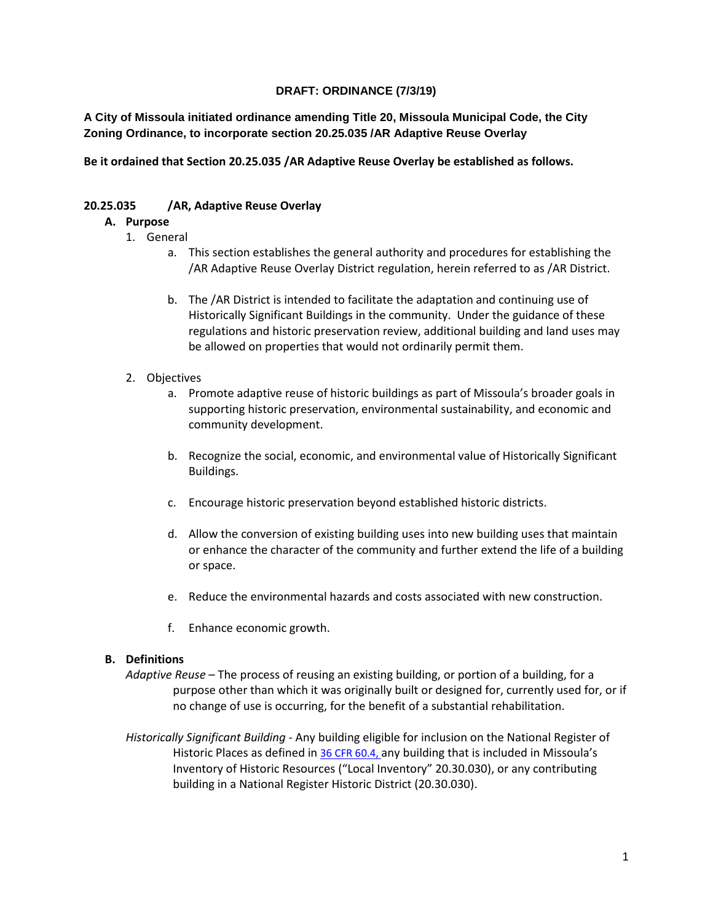## **DRAFT: ORDINANCE (7/3/19)**

**A City of Missoula initiated ordinance amending Title 20, Missoula Municipal Code, the City Zoning Ordinance, to incorporate section 20.25.035 /AR Adaptive Reuse Overlay**

**Be it ordained that Section 20.25.035 /AR Adaptive Reuse Overlay be established as follows.**

## **20.25.035 /AR, Adaptive Reuse Overlay**

### **A. Purpose**

- 1. General
	- a. This section establishes the general authority and procedures for establishing the /AR Adaptive Reuse Overlay District regulation, herein referred to as /AR District.
	- b. The /AR District is intended to facilitate the adaptation and continuing use of Historically Significant Buildings in the community. Under the guidance of these regulations and historic preservation review, additional building and land uses may be allowed on properties that would not ordinarily permit them.
- 2. Objectives
	- a. Promote adaptive reuse of historic buildings as part of Missoula's broader goals in supporting historic preservation, environmental sustainability, and economic and community development.
	- b. Recognize the social, economic, and environmental value of Historically Significant Buildings.
	- c. Encourage historic preservation beyond established historic districts.
	- d. Allow the conversion of existing building uses into new building uses that maintain or enhance the character of the community and further extend the life of a building or space.
	- e. Reduce the environmental hazards and costs associated with new construction.
	- f. Enhance economic growth.

### **B. Definitions**

- *Adaptive Reuse* The process of reusing an existing building, or portion of a building, for a purpose other than which it was originally built or designed for, currently used for, or if no change of use is occurring, for the benefit of a substantial rehabilitation.
- *Historically Significant Building* Any building eligible for inclusion on the National Register of Historic Places as defined in [36 CFR 60.4, a](https://www.govinfo.gov/app/details/CFR-2012-title36-vol1/CFR-2012-title36-vol1-part60)ny building that is included in Missoula's Inventory of Historic Resources ("Local Inventory" 20.30.030), or any contributing building in a National Register Historic District (20.30.030).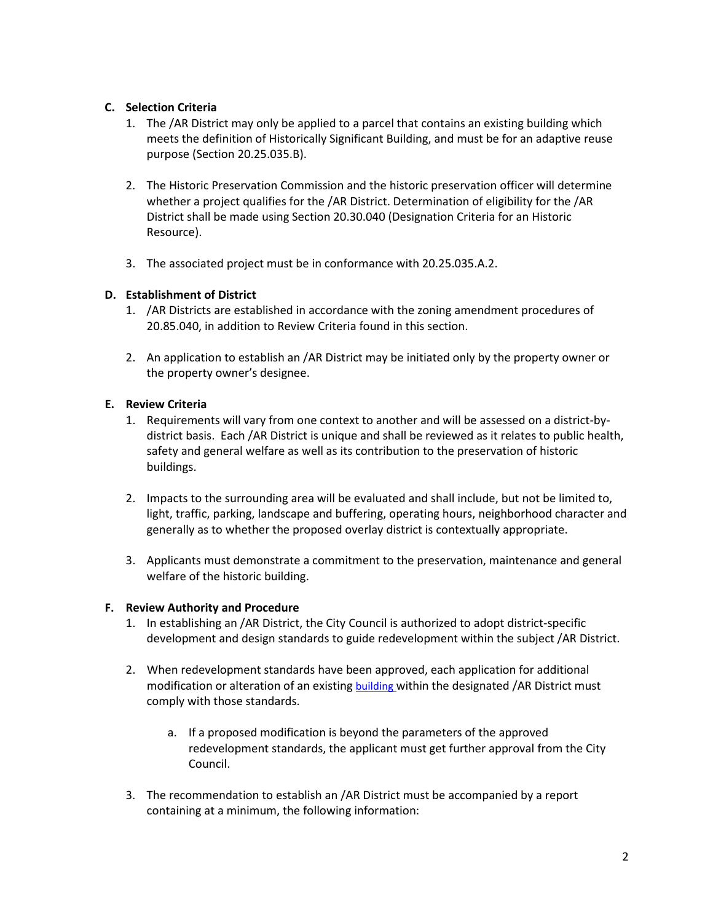# **C. Selection Criteria**

- 1. The /AR District may only be applied to a parcel that contains an existing building which meets the definition of Historically Significant Building, and must be for an adaptive reuse purpose (Section 20.25.035.B).
- 2. The Historic Preservation Commission and the historic preservation officer will determine whether a project qualifies for the /AR District. Determination of eligibility for the /AR District shall be made using Section 20.30.040 (Designation Criteria for an Historic Resource).
- 3. The associated project must be in conformance with 20.25.035.A.2.

# **D. Establishment of District**

- 1. /AR Districts are established in accordance with the zoning amendment procedures of 20.85.040, in addition to Review Criteria found in this section.
- 2. An application to establish an /AR District may be initiated only by the property owner or the property owner's designee.

# **E. Review Criteria**

- 1. Requirements will vary from one context to another and will be assessed on a district-bydistrict basis. Each /AR District is unique and shall be reviewed as it relates to public health, safety and general welfare as well as its contribution to the preservation of historic buildings.
- 2. Impacts to the surrounding area will be evaluated and shall include, but not be limited to, light, traffic, parking, landscape and buffering, operating hours, neighborhood character and generally as to whether the proposed overlay district is contextually appropriate.
- 3. Applicants must demonstrate a commitment to the preservation, maintenance and general welfare of the historic building.

# **F. Review Authority and Procedure**

- 1. In establishing an /AR District, the City Council is authorized to adopt district-specific development and design standards to guide redevelopment within the subject /AR District.
- 2. When redevelopment standards have been approved, each application for additional modification or alteration of an existin[g building](https://www.municode.com/) within the designated /AR District must comply with those standards.
	- a. If a proposed modification is beyond the parameters of the approved redevelopment standards, the applicant must get further approval from the City Council.
- 3. The recommendation to establish an /AR District must be accompanied by a report containing at a minimum, the following information: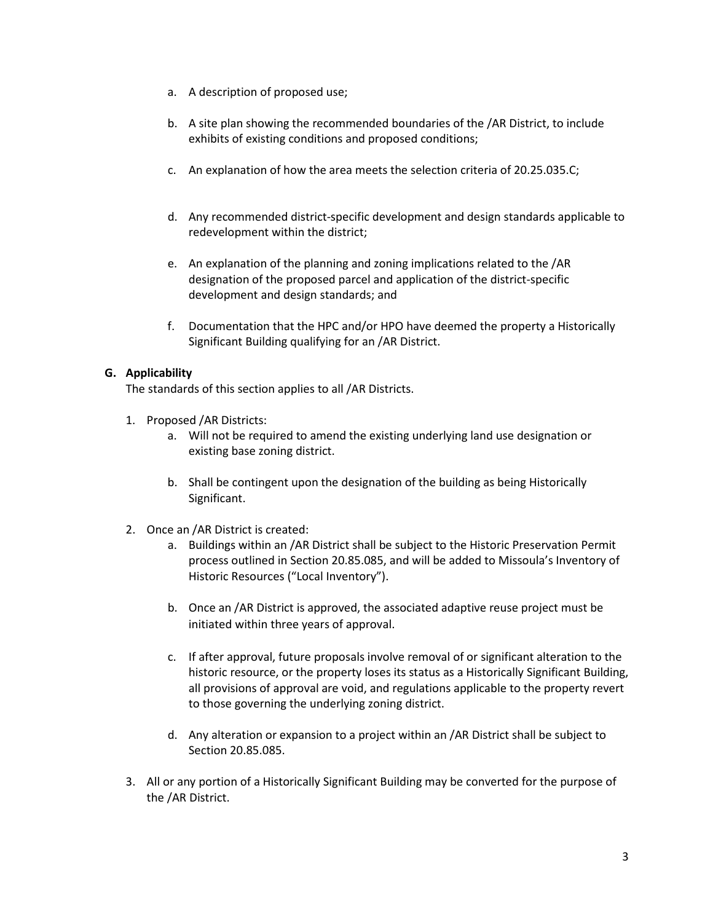- a. A description of proposed use;
- b. A site plan showing the recommended boundaries of the /AR District, to include exhibits of existing conditions and proposed conditions;
- c. An explanation of how the area meets the selection criteria of 20.25.035.C;
- d. Any recommended district-specific development and design standards applicable to redevelopment within the district;
- e. An explanation of the planning and zoning implications related to the /AR designation of the proposed parcel and application of the district-specific development and design standards; and
- f. Documentation that the HPC and/or HPO have deemed the property a Historically Significant Building qualifying for an /AR District.

## **G. Applicability**

The standards of this section applies to all /AR Districts.

- 1. Proposed /AR Districts:
	- a. Will not be required to amend the existing underlying land use designation or existing base zoning district.
	- b. Shall be contingent upon the designation of the building as being Historically Significant.
- 2. Once an /AR District is created:
	- a. Buildings within an /AR District shall be subject to the Historic Preservation Permit process outlined in Section 20.85.085, and will be added to Missoula's Inventory of Historic Resources ("Local Inventory").
	- b. Once an /AR District is approved, the associated adaptive reuse project must be initiated within three years of approval.
	- c. If after approval, future proposals involve removal of or significant alteration to the historic resource, or the property loses its status as a Historically Significant Building, all provisions of approval are void, and regulations applicable to the property revert to those governing the underlying zoning district.
	- d. Any alteration or expansion to a project within an /AR District shall be subject to Section 20.85.085.
- 3. All or any portion of a Historically Significant Building may be converted for the purpose of the /AR District.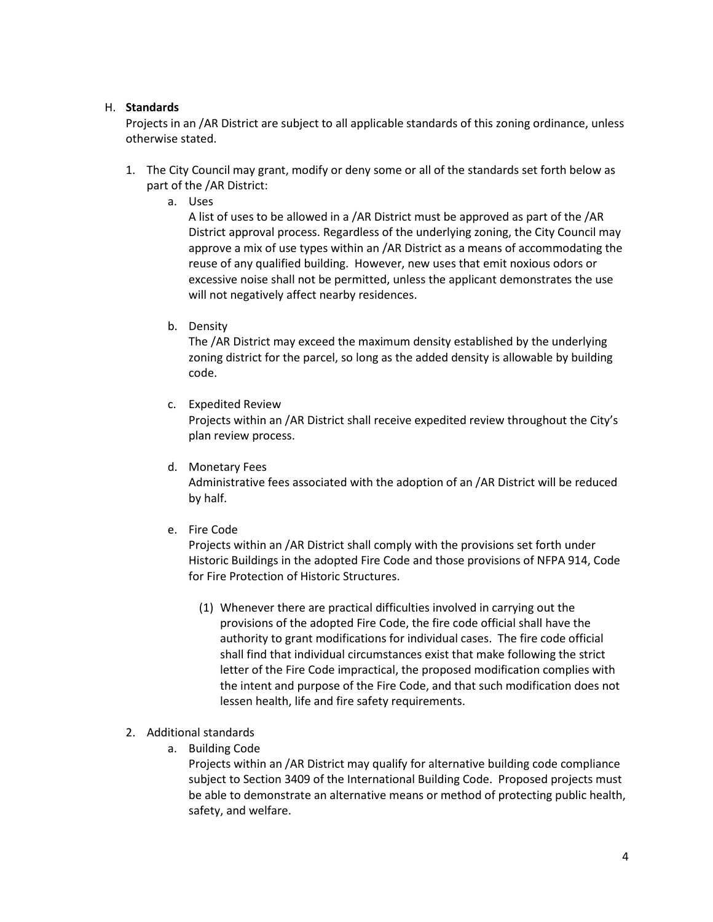### H. **Standards**

Projects in an /AR District are subject to all applicable standards of this zoning ordinance, unless otherwise stated.

- 1. The City Council may grant, modify or deny some or all of the standards set forth below as part of the /AR District:
	- a. Uses

A list of uses to be allowed in a /AR District must be approved as part of the /AR District approval process. Regardless of the underlying zoning, the City Council may approve a mix of use types within an /AR District as a means of accommodating the reuse of any qualified building. However, new uses that emit noxious odors or excessive noise shall not be permitted, unless the applicant demonstrates the use will not negatively affect nearby residences.

b. Density

The /AR District may exceed the maximum density established by the underlying zoning district for the parcel, so long as the added density is allowable by building code.

c. Expedited Review

Projects within an /AR District shall receive expedited review throughout the City's plan review process.

d. Monetary Fees

Administrative fees associated with the adoption of an /AR District will be reduced by half.

e. Fire Code

Projects within an /AR District shall comply with the provisions set forth under Historic Buildings in the adopted Fire Code and those provisions of NFPA 914, Code for Fire Protection of Historic Structures.

- (1) Whenever there are practical difficulties involved in carrying out the provisions of the adopted Fire Code, the fire code official shall have the authority to grant modifications for individual cases. The fire code official shall find that individual circumstances exist that make following the strict letter of the Fire Code impractical, the proposed modification complies with the intent and purpose of the Fire Code, and that such modification does not lessen health, life and fire safety requirements.
- 2. Additional standards
	- a. Building Code

Projects within an /AR District may qualify for alternative building code compliance subject to Section 3409 of the International Building Code. Proposed projects must be able to demonstrate an alternative means or method of protecting public health, safety, and welfare.